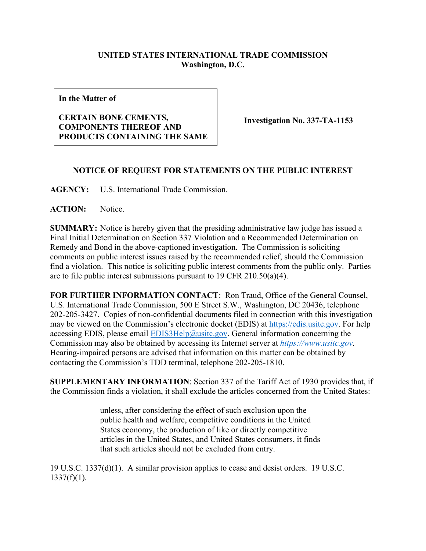## **UNITED STATES INTERNATIONAL TRADE COMMISSION Washington, D.C.**

**In the Matter of**

## **CERTAIN BONE CEMENTS, COMPONENTS THEREOF AND PRODUCTS CONTAINING THE SAME**

**Investigation No. 337-TA-1153**

## **NOTICE OF REQUEST FOR STATEMENTS ON THE PUBLIC INTEREST**

**AGENCY:** U.S. International Trade Commission.

ACTION: Notice.

**SUMMARY:** Notice is hereby given that the presiding administrative law judge has issued a Final Initial Determination on Section 337 Violation and a Recommended Determination on Remedy and Bond in the above-captioned investigation. The Commission is soliciting comments on public interest issues raised by the recommended relief, should the Commission find a violation. This notice is soliciting public interest comments from the public only. Parties are to file public interest submissions pursuant to 19 CFR 210.50(a)(4).

**FOR FURTHER INFORMATION CONTACT**: Ron Traud, Office of the General Counsel, U.S. International Trade Commission, 500 E Street S.W., Washington, DC 20436, telephone 202-205-3427. Copies of non-confidential documents filed in connection with this investigation may be viewed on the Commission's electronic docket (EDIS) at [https://edis.usitc.gov.](https://edis.usitc.gov/) For help accessing EDIS, please email  $EDIS3Help@usite.gov$ . General information concerning the Commission may also be obtained by accessing its Internet server at *[https://www.usitc.gov](https://www.usitc.gov/)*. Hearing-impaired persons are advised that information on this matter can be obtained by contacting the Commission's TDD terminal, telephone 202-205-1810.

**SUPPLEMENTARY INFORMATION**: Section 337 of the Tariff Act of 1930 provides that, if the Commission finds a violation, it shall exclude the articles concerned from the United States:

> unless, after considering the effect of such exclusion upon the public health and welfare, competitive conditions in the United States economy, the production of like or directly competitive articles in the United States, and United States consumers, it finds that such articles should not be excluded from entry.

19 U.S.C. 1337(d)(1). A similar provision applies to cease and desist orders. 19 U.S.C.  $1337(f)(1)$ .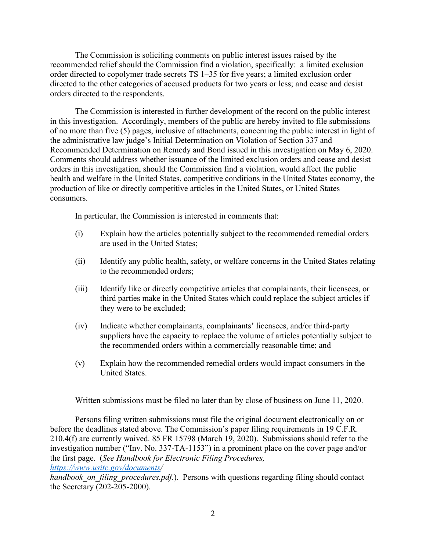The Commission is soliciting comments on public interest issues raised by the recommended relief should the Commission find a violation, specifically: a limited exclusion order directed to copolymer trade secrets TS 1–35 for five years; a limited exclusion order directed to the other categories of accused products for two years or less; and cease and desist orders directed to the respondents.

The Commission is interested in further development of the record on the public interest in this investigation. Accordingly, members of the public are hereby invited to file submissions of no more than five (5) pages, inclusive of attachments, concerning the public interest in light of the administrative law judge's Initial Determination on Violation of Section 337 and Recommended Determination on Remedy and Bond issued in this investigation on May 6, 2020. Comments should address whether issuance of the limited exclusion orders and cease and desist orders in this investigation, should the Commission find a violation, would affect the public health and welfare in the United States, competitive conditions in the United States economy, the production of like or directly competitive articles in the United States, or United States consumers.

In particular, the Commission is interested in comments that:

- (i) Explain how the articles potentially subject to the recommended remedial orders are used in the United States;
- (ii) Identify any public health, safety, or welfare concerns in the United States relating to the recommended orders;
- (iii) Identify like or directly competitive articles that complainants, their licensees, or third parties make in the United States which could replace the subject articles if they were to be excluded;
- (iv) Indicate whether complainants, complainants' licensees, and/or third-party suppliers have the capacity to replace the volume of articles potentially subject to the recommended orders within a commercially reasonable time; and
- (v) Explain how the recommended remedial orders would impact consumers in the United States.

Written submissions must be filed no later than by close of business on June 11, 2020.

Persons filing written submissions must file the original document electronically on or before the deadlines stated above. The Commission's paper filing requirements in 19 C.F.R. 210.4(f) are currently waived. 85 FR 15798 (March 19, 2020). Submissions should refer to the investigation number ("Inv. No. 337-TA-1153") in a prominent place on the cover page and/or the first page. (*See Handbook for Electronic Filing Procedures, [https://www.usitc.gov/documents/](https://www.usitc.gov/documents)*

*handbook on filing procedures.pdf.*). Persons with questions regarding filing should contact the Secretary (202-205-2000).